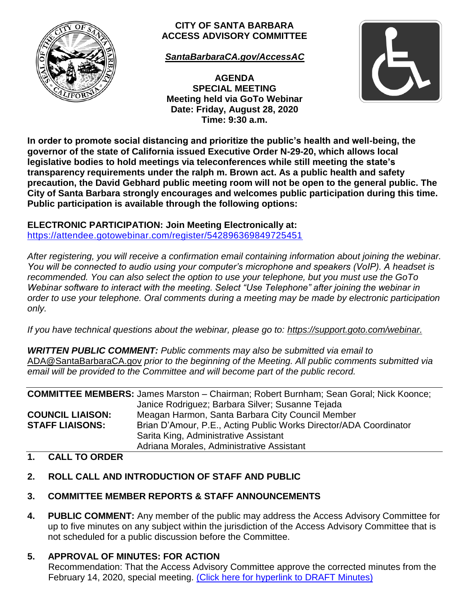

#### **CITY OF SANTA BARBARA ACCESS ADVISORY COMMITTEE**

*[SantaBarbaraCA.gov/AccessAC](https://www.santabarbaraca.gov/gov/brdcomm/ac/access/default.asp)*

**AGENDA SPECIAL MEETING Meeting held via GoTo Webinar Date: Friday, August 28, 2020 Time: 9:30 a.m.**



**In order to promote social distancing and prioritize the public's health and well-being, the governor of the state of California issued Executive Order N-29-20, which allows local legislative bodies to hold meetings via teleconferences while still meeting the state's transparency requirements under the ralph m. Brown act. As a public health and safety precaution, the David Gebhard public meeting room will not be open to the general public. The City of Santa Barbara strongly encourages and welcomes public participation during this time. Public participation is available through the following options:** 

**ELECTRONIC PARTICIPATION: Join Meeting Electronically at:**  <https://attendee.gotowebinar.com/register/542896369849725451>

*After registering, you will receive a confirmation email containing information about joining the webinar. You will be connected to audio using your computer's microphone and speakers (VoIP). A headset is recommended. You can also select the option to use your telephone, but you must use the GoTo Webinar software to interact with the meeting. Select "Use Telephone" after joining the webinar in order to use your telephone. Oral comments during a meeting may be made by electronic participation only.*

*If you have technical questions about the webinar, please go to: [https://support.goto.com/webinar.](https://support.goto.com/webinar)*

*WRITTEN PUBLIC COMMENT: Public comments may also be submitted via email to*  [ADA@SantaBarbaraCA.gov](mailto:ADA@SantaBarbaraCA.gov) *prior to the beginning of the Meeting. All public comments submitted via email will be provided to the Committee and will become part of the public record.*

|                         | <b>COMMITTEE MEMBERS:</b> James Marston - Chairman; Robert Burnham; Sean Goral; Nick Koonce; |
|-------------------------|----------------------------------------------------------------------------------------------|
|                         | Janice Rodriguez; Barbara Silver; Susanne Tejada                                             |
| <b>COUNCIL LIAISON:</b> | Meagan Harmon, Santa Barbara City Council Member                                             |
| <b>STAFF LIAISONS:</b>  | Brian D'Amour, P.E., Acting Public Works Director/ADA Coordinator                            |
|                         | Sarita King, Administrative Assistant                                                        |
|                         | Adriana Morales, Administrative Assistant                                                    |

#### **1. CALL TO ORDER**

# **2. ROLL CALL AND INTRODUCTION OF STAFF AND PUBLIC**

# **3. COMMITTEE MEMBER REPORTS & STAFF ANNOUNCEMENTS**

**4. PUBLIC COMMENT:** Any member of the public may address the Access Advisory Committee for up to five minutes on any subject within the jurisdiction of the Access Advisory Committee that is not scheduled for a public discussion before the Committee.

# **5. APPROVAL OF MINUTES: FOR ACTION**

Recommendation: That the Access Advisory Committee approve the corrected minutes from the February 14, 2020, special meeting. (Click here for [hyperlink to DRAFT Minutes\)](https://www.santabarbaraca.gov/civicax/filebank/blobdload.aspx?BlobID=228035)